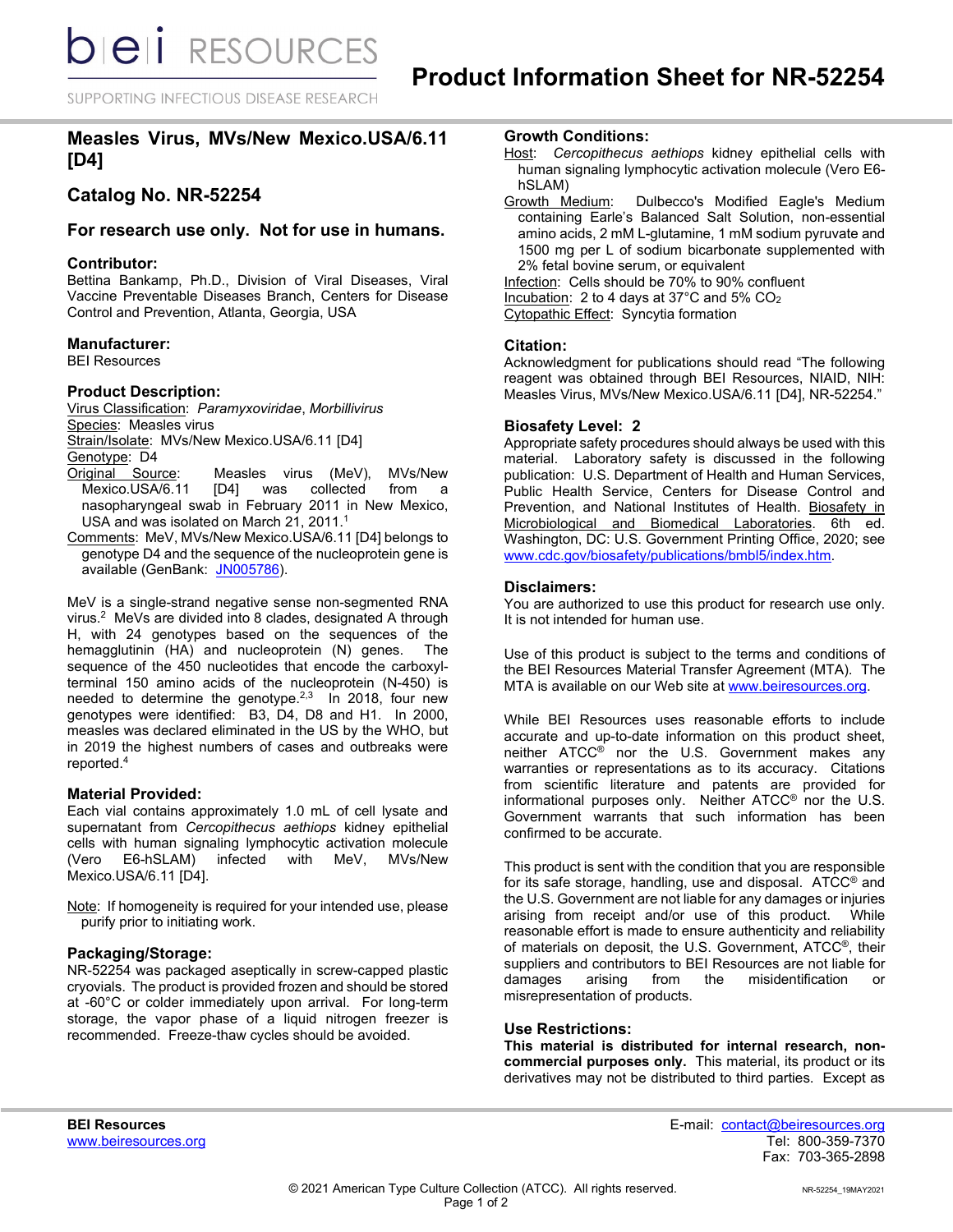SUPPORTING INFECTIOUS DISEASE RESEARCH

# **Measles Virus, MVs/New Mexico.USA/6.11 [D4]**

# **Catalog No. NR-52254**

# **For research use only. Not for use in humans.**

#### **Contributor:**

Bettina Bankamp, Ph.D., Division of Viral Diseases, Viral Vaccine Preventable Diseases Branch, Centers for Disease Control and Prevention, Atlanta, Georgia, USA

## **Manufacturer:**

BEI Resources

#### **Product Description:**

Virus Classification: *Paramyxoviridae*, *Morbillivirus* Species: Measles virus Strain/Isolate: MVs/New Mexico.USA/6.11 [D4] Genotype: D4<br>Original Source:

- <u>iginal Source</u>: Measles virus (MeV), MVs/New<br>Mexico.USA/6.11 [D4] was collected from a [D4] was collected from a nasopharyngeal swab in February 2011 in New Mexico, USA and was isolated on March 21, 2011.<sup>1</sup>
- Comments: MeV, MVs/New Mexico.USA/6.11 [D4] belongs to genotype D4 and the sequence of the nucleoprotein gene is available (GenBank: [JN005786\)](https://www.ncbi.nlm.nih.gov/nuccore/JN005786).

MeV is a single-strand negative sense non-segmented RNA virus.2 MeVs are divided into 8 clades, designated A through H, with 24 genotypes based on the sequences of the hemagglutinin (HA) and nucleoprotein (N) genes. The sequence of the 450 nucleotides that encode the carboxylterminal 150 amino acids of the nucleoprotein (N-450) is needed to determine the genotype.<sup>2,3</sup> In 2018, four new genotypes were identified: B3, D4, D8 and H1. In 2000, measles was declared eliminated in the US by the WHO, but in 2019 the highest numbers of cases and outbreaks were reported.4

## **Material Provided:**

Each vial contains approximately 1.0 mL of cell lysate and supernatant from *Cercopithecus aethiops* kidney epithelial cells with human signaling lymphocytic activation molecule<br>(Vero E6-hSLAM) infected with MeV. MVs/New (Vero E6-hSLAM) Mexico.USA/6.11 [D4].

Note: If homogeneity is required for your intended use, please purify prior to initiating work.

## **Packaging/Storage:**

NR-52254 was packaged aseptically in screw-capped plastic cryovials. The product is provided frozen and should be stored at -60°C or colder immediately upon arrival. For long-term storage, the vapor phase of a liquid nitrogen freezer is recommended. Freeze-thaw cycles should be avoided.

# **Growth Conditions:**

- Host: *Cercopithecus aethiops* kidney epithelial cells with human signaling lymphocytic activation molecule (Vero E6 hSLAM)
- Growth Medium: Dulbecco's Modified Eagle's Medium containing Earle's Balanced Salt Solution, non-essential amino acids, 2 mM L-glutamine, 1 mM sodium pyruvate and 1500 mg per L of sodium bicarbonate supplemented with 2% fetal bovine serum, or equivalent

Infection: Cells should be 70% to 90% confluent Incubation: 2 to 4 days at 37°C and 5% CO2 Cytopathic Effect: Syncytia formation

## **Citation:**

Acknowledgment for publications should read "The following reagent was obtained through BEI Resources, NIAID, NIH: Measles Virus, MVs/New Mexico.USA/6.11 [D4], NR-52254."

#### **Biosafety Level: 2**

Appropriate safety procedures should always be used with this material. Laboratory safety is discussed in the following publication: U.S. Department of Health and Human Services, Public Health Service, Centers for Disease Control and Prevention, and National Institutes of Health. Biosafety in Microbiological and Biomedical Laboratories. 6th ed. Washington, DC: U.S. Government Printing Office, 2020; see [www.cdc.gov/biosafety/publications/bmbl5/index.htm.](http://www.cdc.gov/biosafety/publications/bmbl5/index.htm)

#### **Disclaimers:**

You are authorized to use this product for research use only. It is not intended for human use.

Use of this product is subject to the terms and conditions of the BEI Resources Material Transfer Agreement (MTA). The MTA is available on our Web site at [www.beiresources.org.](http://www.beiresources.org/)

While BEI Resources uses reasonable efforts to include accurate and up-to-date information on this product sheet, neither ATCC® nor the U.S. Government makes any warranties or representations as to its accuracy. Citations from scientific literature and patents are provided for informational purposes only. Neither ATCC® nor the U.S. Government warrants that such information has been confirmed to be accurate.

This product is sent with the condition that you are responsible for its safe storage, handling, use and disposal. ATCC® and the U.S. Government are not liable for any damages or injuries arising from receipt and/or use of this product. While reasonable effort is made to ensure authenticity and reliability of materials on deposit, the U.S. Government, ATCC®, their suppliers and contributors to BEI Resources are not liable for damages arising from the misidentification or misrepresentation of products.

## **Use Restrictions:**

**This material is distributed for internal research, noncommercial purposes only.** This material, its product or its derivatives may not be distributed to third parties. Except as

**BEI Resources** E-mail: contact@beiresources.org Fax: 703-365-2898